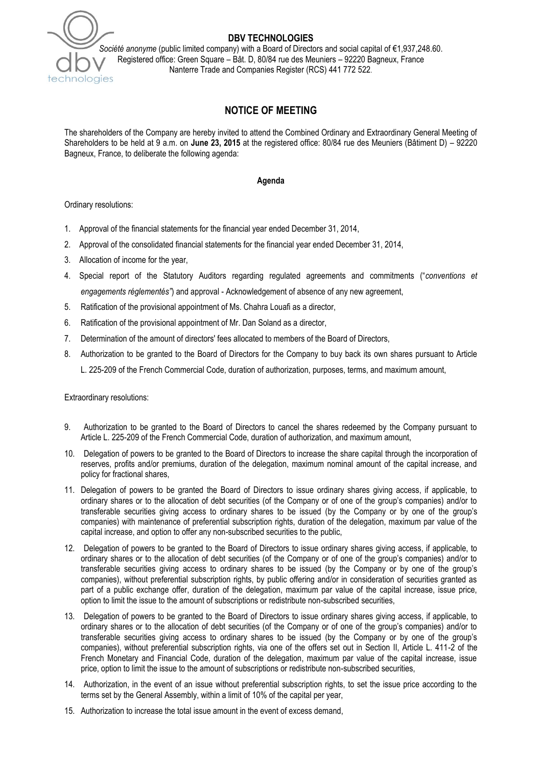

## **DBV TECHNOLOGIES**

*Société anonyme* (public limited company) with a Board of Directors and social capital of €1,937,248.60. Registered office: Green Square – Bât. D, 80/84 rue des Meuniers – 92220 Bagneux, France Nanterre Trade and Companies Register (RCS) 441 772 522.

# **NOTICE OF MEETING**

The shareholders of the Company are hereby invited to attend the Combined Ordinary and Extraordinary General Meeting of Shareholders to be held at 9 a.m. on **June 23, 2015** at the registered office: 80/84 rue des Meuniers (Bâtiment D) – 92220 Bagneux, France, to deliberate the following agenda:

#### **Agenda**

Ordinary resolutions:

- 1. Approval of the financial statements for the financial year ended December 31, 2014,
- 2. Approval of the consolidated financial statements for the financial year ended December 31, 2014,
- 3. Allocation of income for the year,
- 4. Special report of the Statutory Auditors regarding regulated agreements and commitments ("*conventions et engagements réglementés"*) and approval - Acknowledgement of absence of any new agreement,
- 5. Ratification of the provisional appointment of Ms. Chahra Louafi as a director,
- 6. Ratification of the provisional appointment of Mr. Dan Soland as a director,
- 7. Determination of the amount of directors' fees allocated to members of the Board of Directors,
- 8. Authorization to be granted to the Board of Directors for the Company to buy back its own shares pursuant to Article L. 225-209 of the French Commercial Code, duration of authorization, purposes, terms, and maximum amount,

Extraordinary resolutions:

- 9. Authorization to be granted to the Board of Directors to cancel the shares redeemed by the Company pursuant to Article L. 225-209 of the French Commercial Code, duration of authorization, and maximum amount,
- 10. Delegation of powers to be granted to the Board of Directors to increase the share capital through the incorporation of reserves, profits and/or premiums, duration of the delegation, maximum nominal amount of the capital increase, and policy for fractional shares,
- 11. Delegation of powers to be granted the Board of Directors to issue ordinary shares giving access, if applicable, to ordinary shares or to the allocation of debt securities (of the Company or of one of the group's companies) and/or to transferable securities giving access to ordinary shares to be issued (by the Company or by one of the group's companies) with maintenance of preferential subscription rights, duration of the delegation, maximum par value of the capital increase, and option to offer any non-subscribed securities to the public,
- 12. Delegation of powers to be granted to the Board of Directors to issue ordinary shares giving access, if applicable, to ordinary shares or to the allocation of debt securities (of the Company or of one of the group's companies) and/or to transferable securities giving access to ordinary shares to be issued (by the Company or by one of the group's companies), without preferential subscription rights, by public offering and/or in consideration of securities granted as part of a public exchange offer, duration of the delegation, maximum par value of the capital increase, issue price, option to limit the issue to the amount of subscriptions or redistribute non-subscribed securities,
- 13. Delegation of powers to be granted to the Board of Directors to issue ordinary shares giving access, if applicable, to ordinary shares or to the allocation of debt securities (of the Company or of one of the group's companies) and/or to transferable securities giving access to ordinary shares to be issued (by the Company or by one of the group's companies), without preferential subscription rights, via one of the offers set out in Section II, Article L. 411-2 of the French Monetary and Financial Code, duration of the delegation, maximum par value of the capital increase, issue price, option to limit the issue to the amount of subscriptions or redistribute non-subscribed securities,
- 14. Authorization, in the event of an issue without preferential subscription rights, to set the issue price according to the terms set by the General Assembly, within a limit of 10% of the capital per year,
- 15. Authorization to increase the total issue amount in the event of excess demand,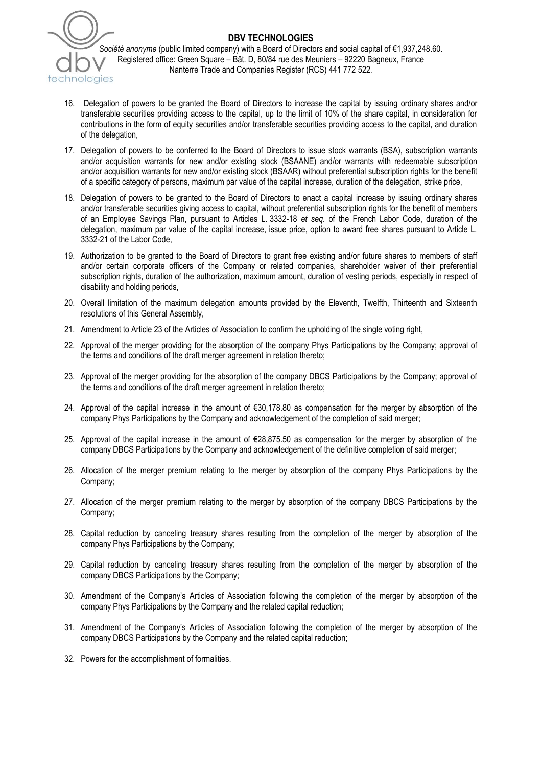

## **DBV TECHNOLOGIES**

*Société anonyme* (public limited company) with a Board of Directors and social capital of €1,937,248.60. Registered office: Green Square – Bât. D, 80/84 rue des Meuniers – 92220 Bagneux, France Nanterre Trade and Companies Register (RCS) 441 772 522.

- 16. Delegation of powers to be granted the Board of Directors to increase the capital by issuing ordinary shares and/or transferable securities providing access to the capital, up to the limit of 10% of the share capital, in consideration for contributions in the form of equity securities and/or transferable securities providing access to the capital, and duration of the delegation,
- 17. Delegation of powers to be conferred to the Board of Directors to issue stock warrants (BSA), subscription warrants and/or acquisition warrants for new and/or existing stock (BSAANE) and/or warrants with redeemable subscription and/or acquisition warrants for new and/or existing stock (BSAAR) without preferential subscription rights for the benefit of a specific category of persons, maximum par value of the capital increase, duration of the delegation, strike price,
- 18. Delegation of powers to be granted to the Board of Directors to enact a capital increase by issuing ordinary shares and/or transferable securities giving access to capital, without preferential subscription rights for the benefit of members of an Employee Savings Plan, pursuant to Articles L. 3332-18 *et seq.* of the French Labor Code, duration of the delegation, maximum par value of the capital increase, issue price, option to award free shares pursuant to Article L. 3332-21 of the Labor Code,
- 19. Authorization to be granted to the Board of Directors to grant free existing and/or future shares to members of staff and/or certain corporate officers of the Company or related companies, shareholder waiver of their preferential subscription rights, duration of the authorization, maximum amount, duration of vesting periods, especially in respect of disability and holding periods,
- 20. Overall limitation of the maximum delegation amounts provided by the Eleventh, Twelfth, Thirteenth and Sixteenth resolutions of this General Assembly,
- 21. Amendment to Article 23 of the Articles of Association to confirm the upholding of the single voting right,
- 22. Approval of the merger providing for the absorption of the company Phys Participations by the Company; approval of the terms and conditions of the draft merger agreement in relation thereto;
- 23. Approval of the merger providing for the absorption of the company DBCS Participations by the Company; approval of the terms and conditions of the draft merger agreement in relation thereto;
- 24. Approval of the capital increase in the amount of €30,178.80 as compensation for the merger by absorption of the company Phys Participations by the Company and acknowledgement of the completion of said merger;
- 25. Approval of the capital increase in the amount of €28,875.50 as compensation for the merger by absorption of the company DBCS Participations by the Company and acknowledgement of the definitive completion of said merger;
- 26. Allocation of the merger premium relating to the merger by absorption of the company Phys Participations by the Company;
- 27. Allocation of the merger premium relating to the merger by absorption of the company DBCS Participations by the Company;
- 28. Capital reduction by canceling treasury shares resulting from the completion of the merger by absorption of the company Phys Participations by the Company;
- 29. Capital reduction by canceling treasury shares resulting from the completion of the merger by absorption of the company DBCS Participations by the Company;
- 30. Amendment of the Company's Articles of Association following the completion of the merger by absorption of the company Phys Participations by the Company and the related capital reduction;
- 31. Amendment of the Company's Articles of Association following the completion of the merger by absorption of the company DBCS Participations by the Company and the related capital reduction;
- 32. Powers for the accomplishment of formalities.